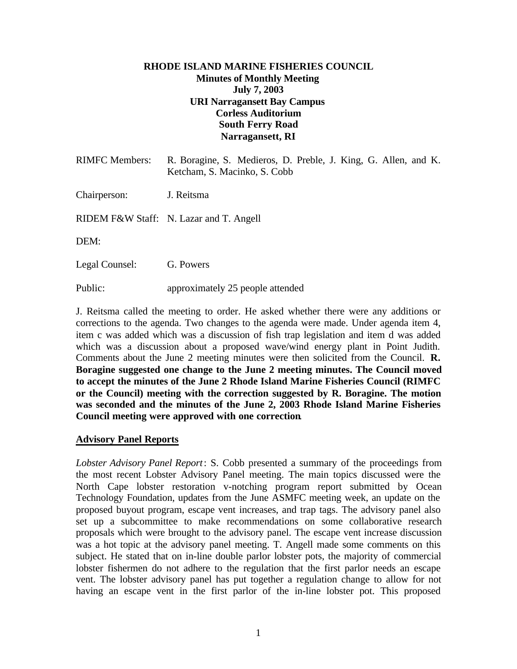#### **RHODE ISLAND MARINE FISHERIES COUNCIL Minutes of Monthly Meeting July 7, 2003 URI Narragansett Bay Campus Corless Auditorium South Ferry Road Narragansett, RI**

| <b>RIMFC Members:</b> | R. Boragine, S. Medieros, D. Preble, J. King, G. Allen, and K.<br>Ketcham, S. Macinko, S. Cobb |
|-----------------------|------------------------------------------------------------------------------------------------|
| Chairperson:          | J. Reitsma                                                                                     |
|                       | RIDEM F&W Staff: N. Lazar and T. Angell                                                        |
| DEM:                  |                                                                                                |
| Legal Counsel:        | G. Powers                                                                                      |

Public: approximately 25 people attended

J. Reitsma called the meeting to order. He asked whether there were any additions or corrections to the agenda. Two changes to the agenda were made. Under agenda item 4, item c was added which was a discussion of fish trap legislation and item d was added which was a discussion about a proposed wave/wind energy plant in Point Judith. Comments about the June 2 meeting minutes were then solicited from the Council. **R. Boragine suggested one change to the June 2 meeting minutes. The Council moved to accept the minutes of the June 2 Rhode Island Marine Fisheries Council (RIMFC or the Council) meeting with the correction suggested by R. Boragine. The motion was seconded and the minutes of the June 2, 2003 Rhode Island Marine Fisheries Council meeting were approved with one correction**.

#### **Advisory Panel Reports**

*Lobster Advisory Panel Report*: S. Cobb presented a summary of the proceedings from the most recent Lobster Advisory Panel meeting. The main topics discussed were the North Cape lobster restoration v-notching program report submitted by Ocean Technology Foundation, updates from the June ASMFC meeting week, an update on the proposed buyout program, escape vent increases, and trap tags. The advisory panel also set up a subcommittee to make recommendations on some collaborative research proposals which were brought to the advisory panel. The escape vent increase discussion was a hot topic at the advisory panel meeting. T. Angell made some comments on this subject. He stated that on in-line double parlor lobster pots, the majority of commercial lobster fishermen do not adhere to the regulation that the first parlor needs an escape vent. The lobster advisory panel has put together a regulation change to allow for not having an escape vent in the first parlor of the in-line lobster pot. This proposed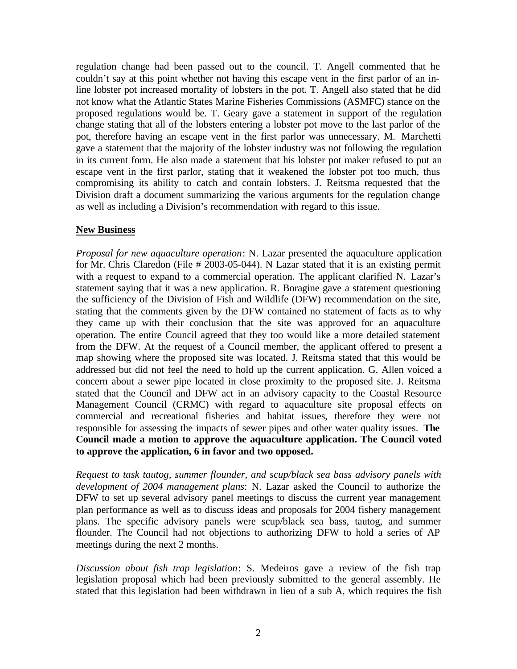regulation change had been passed out to the council. T. Angell commented that he couldn't say at this point whether not having this escape vent in the first parlor of an inline lobster pot increased mortality of lobsters in the pot. T. Angell also stated that he did not know what the Atlantic States Marine Fisheries Commissions (ASMFC) stance on the proposed regulations would be. T. Geary gave a statement in support of the regulation change stating that all of the lobsters entering a lobster pot move to the last parlor of the pot, therefore having an escape vent in the first parlor was unnecessary. M. Marchetti gave a statement that the majority of the lobster industry was not following the regulation in its current form. He also made a statement that his lobster pot maker refused to put an escape vent in the first parlor, stating that it weakened the lobster pot too much, thus compromising its ability to catch and contain lobsters. J. Reitsma requested that the Division draft a document summarizing the various arguments for the regulation change as well as including a Division's recommendation with regard to this issue.

#### **New Business**

*Proposal for new aquaculture operation*: N. Lazar presented the aquaculture application for Mr. Chris Claredon (File # 2003-05-044). N Lazar stated that it is an existing permit with a request to expand to a commercial operation. The applicant clarified N. Lazar's statement saying that it was a new application. R. Boragine gave a statement questioning the sufficiency of the Division of Fish and Wildlife (DFW) recommendation on the site, stating that the comments given by the DFW contained no statement of facts as to why they came up with their conclusion that the site was approved for an aquaculture operation. The entire Council agreed that they too would like a more detailed statement from the DFW. At the request of a Council member, the applicant offered to present a map showing where the proposed site was located. J. Reitsma stated that this would be addressed but did not feel the need to hold up the current application. G. Allen voiced a concern about a sewer pipe located in close proximity to the proposed site. J. Reitsma stated that the Council and DFW act in an advisory capacity to the Coastal Resource Management Council (CRMC) with regard to aquaculture site proposal effects on commercial and recreational fisheries and habitat issues, therefore they were not responsible for assessing the impacts of sewer pipes and other water quality issues. **The Council made a motion to approve the aquaculture application. The Council voted to approve the application, 6 in favor and two opposed.**

*Request to task tautog, summer flounder, and scup/black sea bass advisory panels with development of 2004 management plans*: N. Lazar asked the Council to authorize the DFW to set up several advisory panel meetings to discuss the current year management plan performance as well as to discuss ideas and proposals for 2004 fishery management plans. The specific advisory panels were scup/black sea bass, tautog, and summer flounder. The Council had not objections to authorizing DFW to hold a series of AP meetings during the next 2 months.

*Discussion about fish trap legislation*: S. Medeiros gave a review of the fish trap legislation proposal which had been previously submitted to the general assembly. He stated that this legislation had been withdrawn in lieu of a sub A, which requires the fish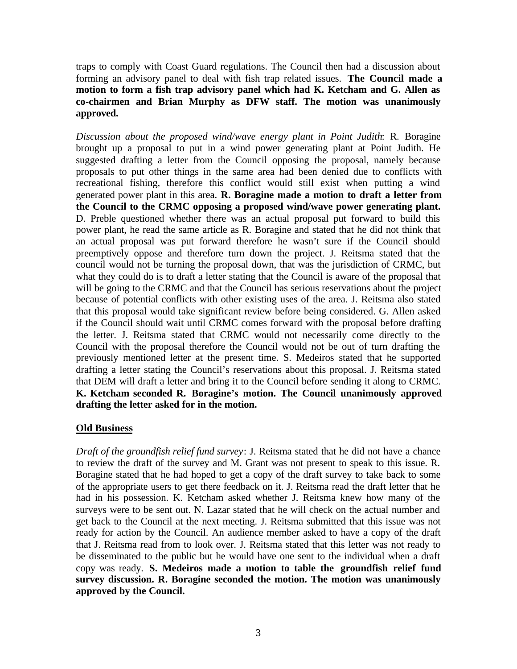traps to comply with Coast Guard regulations. The Council then had a discussion about forming an advisory panel to deal with fish trap related issues. **The Council made a motion to form a fish trap advisory panel which had K. Ketcham and G. Allen as co-chairmen and Brian Murphy as DFW staff. The motion was unanimously approved.**

*Discussion about the proposed wind/wave energy plant in Point Judith*: R. Boragine brought up a proposal to put in a wind power generating plant at Point Judith. He suggested drafting a letter from the Council opposing the proposal, namely because proposals to put other things in the same area had been denied due to conflicts with recreational fishing, therefore this conflict would still exist when putting a wind generated power plant in this area. **R. Boragine made a motion to draft a letter from the Council to the CRMC opposing a proposed wind/wave power generating plant.** D. Preble questioned whether there was an actual proposal put forward to build this power plant, he read the same article as R. Boragine and stated that he did not think that an actual proposal was put forward therefore he wasn't sure if the Council should preemptively oppose and therefore turn down the project. J. Reitsma stated that the council would not be turning the proposal down, that was the jurisdiction of CRMC, but what they could do is to draft a letter stating that the Council is aware of the proposal that will be going to the CRMC and that the Council has serious reservations about the project because of potential conflicts with other existing uses of the area. J. Reitsma also stated that this proposal would take significant review before being considered. G. Allen asked if the Council should wait until CRMC comes forward with the proposal before drafting the letter. J. Reitsma stated that CRMC would not necessarily come directly to the Council with the proposal therefore the Council would not be out of turn drafting the previously mentioned letter at the present time. S. Medeiros stated that he supported drafting a letter stating the Council's reservations about this proposal. J. Reitsma stated that DEM will draft a letter and bring it to the Council before sending it along to CRMC. **K. Ketcham seconded R. Boragine's motion. The Council unanimously approved drafting the letter asked for in the motion.**

# **Old Business**

*Draft of the groundfish relief fund survey*: J. Reitsma stated that he did not have a chance to review the draft of the survey and M. Grant was not present to speak to this issue. R. Boragine stated that he had hoped to get a copy of the draft survey to take back to some of the appropriate users to get there feedback on it. J. Reitsma read the draft letter that he had in his possession. K. Ketcham asked whether J. Reitsma knew how many of the surveys were to be sent out. N. Lazar stated that he will check on the actual number and get back to the Council at the next meeting. J. Reitsma submitted that this issue was not ready for action by the Council. An audience member asked to have a copy of the draft that J. Reitsma read from to look over. J. Reitsma stated that this letter was not ready to be disseminated to the public but he would have one sent to the individual when a draft copy was ready. **S. Medeiros made a motion to table the groundfish relief fund survey discussion. R. Boragine seconded the motion. The motion was unanimously approved by the Council.**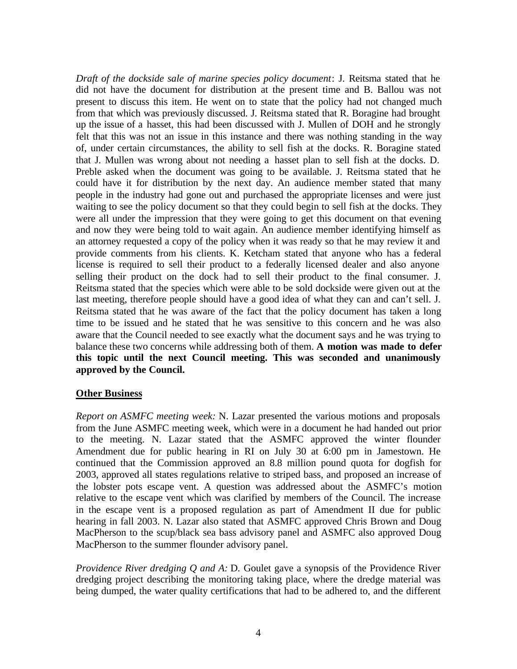*Draft of the dockside sale of marine species policy document*: J. Reitsma stated that he did not have the document for distribution at the present time and B. Ballou was not present to discuss this item. He went on to state that the policy had not changed much from that which was previously discussed. J. Reitsma stated that R. Boragine had brought up the issue of a hasset, this had been discussed with J. Mullen of DOH and he strongly felt that this was not an issue in this instance and there was nothing standing in the way of, under certain circumstances, the ability to sell fish at the docks. R. Boragine stated that J. Mullen was wrong about not needing a hasset plan to sell fish at the docks. D. Preble asked when the document was going to be available. J. Reitsma stated that he could have it for distribution by the next day. An audience member stated that many people in the industry had gone out and purchased the appropriate licenses and were just waiting to see the policy document so that they could begin to sell fish at the docks. They were all under the impression that they were going to get this document on that evening and now they were being told to wait again. An audience member identifying himself as an attorney requested a copy of the policy when it was ready so that he may review it and provide comments from his clients. K. Ketcham stated that anyone who has a federal license is required to sell their product to a federally licensed dealer and also anyone selling their product on the dock had to sell their product to the final consumer. J. Reitsma stated that the species which were able to be sold dockside were given out at the last meeting, therefore people should have a good idea of what they can and can't sell. J. Reitsma stated that he was aware of the fact that the policy document has taken a long time to be issued and he stated that he was sensitive to this concern and he was also aware that the Council needed to see exactly what the document says and he was trying to balance these two concerns while addressing both of them. **A motion was made to defer this topic until the next Council meeting. This was seconded and unanimously approved by the Council.**

# **Other Business**

*Report on ASMFC meeting week:* N. Lazar presented the various motions and proposals from the June ASMFC meeting week, which were in a document he had handed out prior to the meeting. N. Lazar stated that the ASMFC approved the winter flounder Amendment due for public hearing in RI on July 30 at 6:00 pm in Jamestown. He continued that the Commission approved an 8.8 million pound quota for dogfish for 2003, approved all states regulations relative to striped bass, and proposed an increase of the lobster pots escape vent. A question was addressed about the ASMFC's motion relative to the escape vent which was clarified by members of the Council. The increase in the escape vent is a proposed regulation as part of Amendment II due for public hearing in fall 2003. N. Lazar also stated that ASMFC approved Chris Brown and Doug MacPherson to the scup/black sea bass advisory panel and ASMFC also approved Doug MacPherson to the summer flounder advisory panel.

*Providence River dredging Q and A:* D. Goulet gave a synopsis of the Providence River dredging project describing the monitoring taking place, where the dredge material was being dumped, the water quality certifications that had to be adhered to, and the different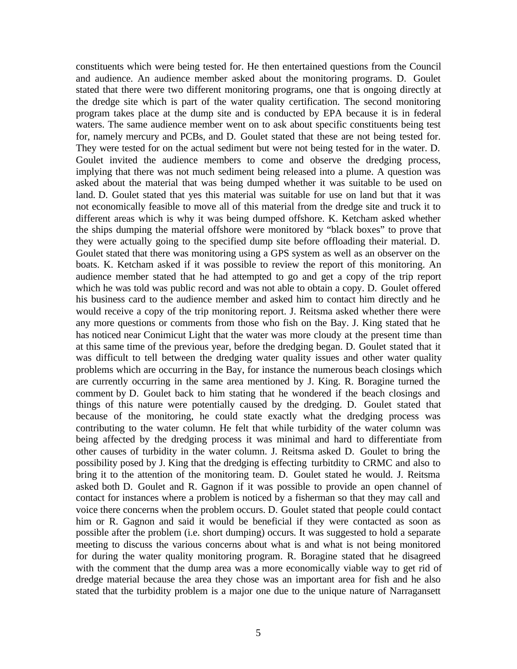constituents which were being tested for. He then entertained questions from the Council and audience. An audience member asked about the monitoring programs. D. Goulet stated that there were two different monitoring programs, one that is ongoing directly at the dredge site which is part of the water quality certification. The second monitoring program takes place at the dump site and is conducted by EPA because it is in federal waters. The same audience member went on to ask about specific constituents being test for, namely mercury and PCBs, and D. Goulet stated that these are not being tested for. They were tested for on the actual sediment but were not being tested for in the water. D. Goulet invited the audience members to come and observe the dredging process, implying that there was not much sediment being released into a plume. A question was asked about the material that was being dumped whether it was suitable to be used on land. D. Goulet stated that yes this material was suitable for use on land but that it was not economically feasible to move all of this material from the dredge site and truck it to different areas which is why it was being dumped offshore. K. Ketcham asked whether the ships dumping the material offshore were monitored by "black boxes" to prove that they were actually going to the specified dump site before offloading their material. D. Goulet stated that there was monitoring using a GPS system as well as an observer on the boats. K. Ketcham asked if it was possible to review the report of this monitoring. An audience member stated that he had attempted to go and get a copy of the trip report which he was told was public record and was not able to obtain a copy. D. Goulet offered his business card to the audience member and asked him to contact him directly and he would receive a copy of the trip monitoring report. J. Reitsma asked whether there were any more questions or comments from those who fish on the Bay. J. King stated that he has noticed near Conimicut Light that the water was more cloudy at the present time than at this same time of the previous year, before the dredging began. D. Goulet stated that it was difficult to tell between the dredging water quality issues and other water quality problems which are occurring in the Bay, for instance the numerous beach closings which are currently occurring in the same area mentioned by J. King. R. Boragine turned the comment by D. Goulet back to him stating that he wondered if the beach closings and things of this nature were potentially caused by the dredging. D. Goulet stated that because of the monitoring, he could state exactly what the dredging process was contributing to the water column. He felt that while turbidity of the water column was being affected by the dredging process it was minimal and hard to differentiate from other causes of turbidity in the water column. J. Reitsma asked D. Goulet to bring the possibility posed by J. King that the dredging is effecting turbitdity to CRMC and also to bring it to the attention of the monitoring team. D. Goulet stated he would. J. Reitsma asked both D. Goulet and R. Gagnon if it was possible to provide an open channel of contact for instances where a problem is noticed by a fisherman so that they may call and voice there concerns when the problem occurs. D. Goulet stated that people could contact him or R. Gagnon and said it would be beneficial if they were contacted as soon as possible after the problem (i.e. short dumping) occurs. It was suggested to hold a separate meeting to discuss the various concerns about what is and what is not being monitored for during the water quality monitoring program. R. Boragine stated that he disagreed with the comment that the dump area was a more economically viable way to get rid of dredge material because the area they chose was an important area for fish and he also stated that the turbidity problem is a major one due to the unique nature of Narragansett